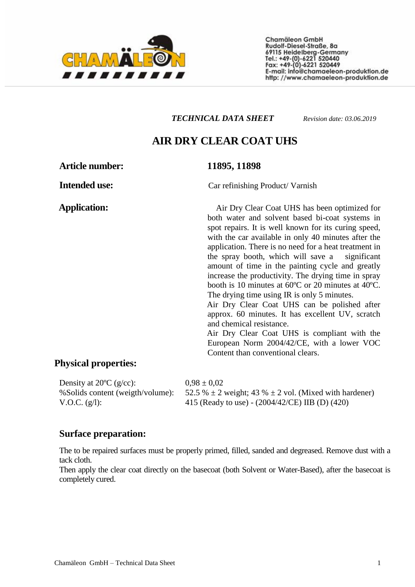

Chamäleon GmbH Rudolf-Diesel-Straße, 8a 69115 Heidelberg-Germany<br>Tel.: +49-(0)-6221 520440<br>Fax: +49-(0)-6221 520449 E-mail: info@chamaeleon-produktion.de http://www.chamaeleon-produktion.de

#### *ТЕХНИЧЕСКИ ЛИСТ*

# **AIR DRY ЛАК UHS**

**Приложение:** Авторепаратурен продукт

#### **Артикулен номер: 11895, 11898**

Air dry UHS лак е оптимизиран както за водни, така и за конвенционални бои. Съхне изключително бързо, като автомобила е готов само за 40 минути след нанасянето. Няма нужда от изпичане, което спестява време. Времето за изпичане е 10 минути при 60 ° C или 20 минути при 40 ° C. Времето за съхнене при използване на IR е само 5 минути. Лакът може да се полира след около 60 минути. Има отлична устойчивост на UV, надраскване и химикали. Този лак е в съответствие с Европейската норма 2004/42 / CE, с по-ниско съдържание на ЛОС в сравнение с обикновените лакове.

**Физични свойства:** 

Density at  $20^{\circ}$ C (g/cc): %Solids content (weigth/volume): V.O.C. (g/l):

 $0.98 \pm 0.02$ 52.5 %  $\pm$  2 weight; 43 %  $\pm$  2 vol. (Mixed with hardener) 415 (Ready to use) - (2004/42/CE) IIB (D) (420)

#### **Surface preparation:**

The to be repaired surfaces must be properly primed, filled, sanded and degreased. Remove dust with a tack cloth.

Then apply the clear coat directly on the basecoat (both Solvent or Water-Based), after the basecoat is completely cured.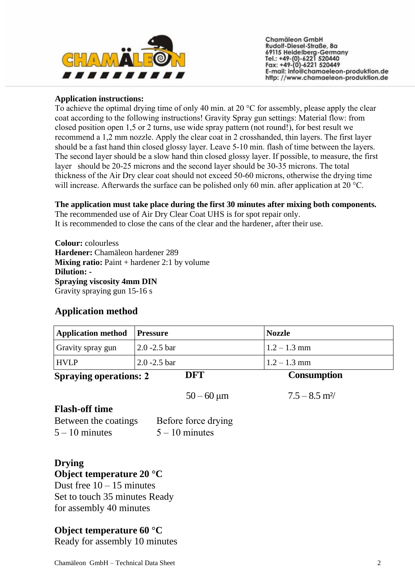

Chamäleon GmbH Rudolf-Diesel-Straße, 8a 69115 Heidelberg-Germany<br>Tel.: +49-(0)-6221 520440<br>Fax: +49-(0)-6221 520449 E-mail: info@chamaeleon-produktion.de http://www.chamaeleon-produktion.de

#### **Application instructions:**

To achieve the optimal drying time of only 40 min. at 20 °C for assembly, please apply the clear coat according to the following instructions! Gravity Spray gun settings: Material flow: from closed position open 1,5 or 2 turns, use wide spray pattern (not round!), for best result we recommend a 1,2 mm nozzle. Apply the clear coat in 2 crosshanded, thin layers. The first layer should be a fast hand thin closed glossy layer. Leave 5-10 min. flash of time between the layers. The second layer should be a slow hand thin closed glossy layer. If possible, to measure, the first layer should be 20-25 microns and the second layer should be 30-35 microns. The total thickness of the Air Dry clear coat should not exceed 50-60 microns, otherwise the drying time will increase. Afterwards the surface can be polished only 60 min. after application at 20 °C.

#### **The application must take place during the first 30 minutes after mixing both components.**

The recommended use of Air Dry Clear Coat UHS is for spot repair only. It is recommended to close the cans of the clear and the hardener, after their use.

**Colour:** colourless **Hardener:** Chamäleon hardener 289 **Mixing ratio:** Paint + hardener 2:1 by volume **Dilution: - Spraying viscosity 4mm DIN**  Gravity spraying gun 15-16 s

## **Application method**

| <b>Application method</b> Pressure |                           | <b>Nozzle</b>  |
|------------------------------------|---------------------------|----------------|
| <b>Gravity spray gun</b>           | $ 2.0 - 2.5 \text{ bar} $ | $1.2 - 1.3$ mm |
| <b>HVLP</b>                        | $2.0 - 2.5$ bar           | $1.2 - 1.3$ mm |

 $50 - 60 \text{ }\mu\text{m}$   $7.5 - 8.5 \text{ }\text{m}^2$ /

**Spraying operations: 2** 

**DFT Consumption**

## **Flash-off time**

| Between the coatings | Before force drying |
|----------------------|---------------------|
| $5 - 10$ minutes     | $5 - 10$ minutes    |

# **Drying Object temperature 20 °C**

Dust free  $10 - 15$  minutes Set to touch 35 minutes Ready for assembly 40 minutes

## **Object temperature 60 °C**

Ready for assembly 10 minutes